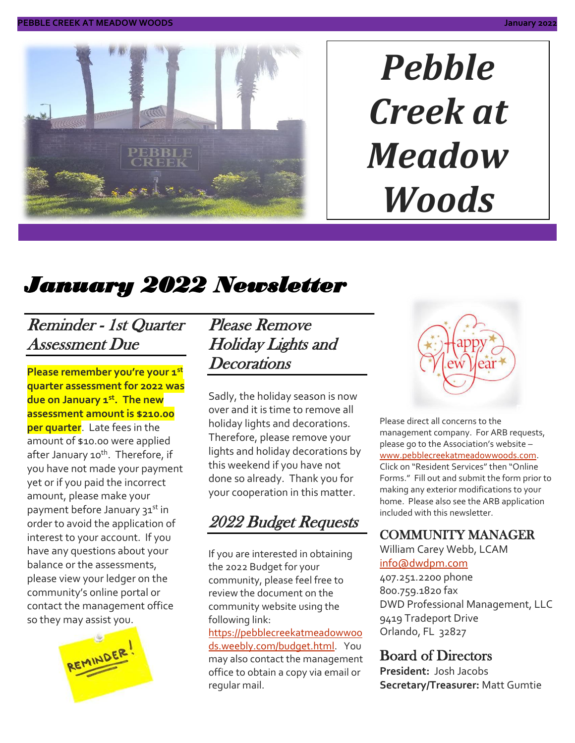

# *Pebble Creek at Meadow Woods*

# *January 2022 Newsletter*

### Reminder - 1st Quarter Assessment Due

**Please remember you're your 1st quarter assessment for 2022 was due on January 1st. The new assessment amount is \$210.00 per quarter**. Late fees in the amount of \$10.00 were applied after January 10<sup>th</sup>. Therefore, if you have not made your payment yet or if you paid the incorrect amount, please make your payment before January 31st in order to avoid the application of interest to your account. If you have any questions about your balance or the assessments, please view your ledger on the community's online portal or contact the management office so they may assist you.



Please Remove Holiday Lights and **Decorations** 

Sadly, the holiday season is now over and it is time to remove all holiday lights and decorations. Therefore, please remove your lights and holiday decorations by this weekend if you have not done so already. Thank you for your cooperation in this matter.

# 2022 Budget Requests

If you are interested in obtaining the 2022 Budget for your community, please feel free to review the document on the community website using the following link:

[https://pebblecreekatmeadowwoo](https://pebblecreekatmeadowwoods.weebly.com/budget.html) [ds.weebly.com/budget.html.](https://pebblecreekatmeadowwoods.weebly.com/budget.html) You may also contact the management office to obtain a copy via email or regular mail.



Please direct all concerns to the management company. For ARB requests, please go to the Association's website – [www.pebblecreekatmeadowwoods.com.](http://www.pebblecreekatmeadowwoods.com/) Click on "Resident Services" then "Online Forms." Fill out and submit the form prior to making any exterior modifications to your home. Please also see the ARB application included with this newsletter.

#### COMMUNITY MANAGER

William Carey Webb, LCAM [info@dwdpm.com](mailto:info@dwdpm.com)  407.251.2200 phone 800.759.1820 fax DWD Professional Management, LLC 9419 Tradeport Drive Orlando, FL 32827

#### Board of Directors

**President:** Josh Jacobs **Secretary/Treasurer:** Matt Gumtie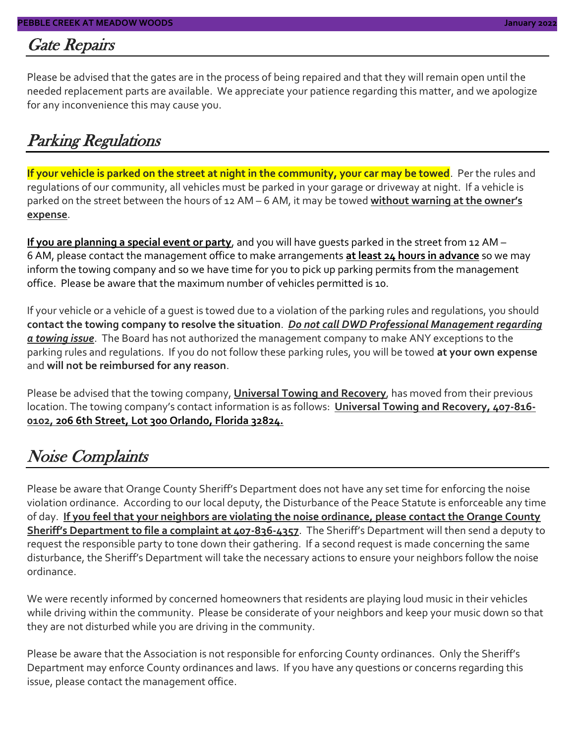#### Gate Repairs

Please be advised that the gates are in the process of being repaired and that they will remain open until the needed replacement parts are available. We appreciate your patience regarding this matter, and we apologize for any inconvenience this may cause you.

#### Parking Regulations

**If your vehicle is parked on the street at night in the community, your car may be towed**. Per the rules and regulations of our community, all vehicles must be parked in your garage or driveway at night. If a vehicle is parked on the street between the hours of 12 AM – 6 AM, it may be towed **without warning at the owner's expense**.

**If you are planning a special event or party**, and you will have guests parked in the street from 12 AM – 6 AM, please contact the management office to make arrangements **at least 24 hours in advance** so we may inform the towing company and so we have time for you to pick up parking permits from the management office. Please be aware that the maximum number of vehicles permitted is 10.

If your vehicle or a vehicle of a guest is towed due to a violation of the parking rules and regulations, you should **contact the towing company to resolve the situation**. *Do not call DWD Professional Management regarding a towing issue*. The Board has not authorized the management company to make ANY exceptions to the parking rules and regulations. If you do not follow these parking rules, you will be towed **at your own expense** and **will not be reimbursed for any reason**.

Please be advised that the towing company, **Universal Towing and Recovery**, has moved from their previous location. The towing company's contact information is as follows: **Universal Towing and Recovery, 407-816- 0102, 206 6th Street, Lot 300 Orlando, Florida 32824.**

#### Noise Complaints

Please be aware that Orange County Sheriff's Department does not have any set time for enforcing the noise violation ordinance. According to our local deputy, the Disturbance of the Peace Statute is enforceable any time of day. **If you feel that your neighbors are violating the noise ordinance, please contact the Orange County Sheriff's Department to file a complaint at 407-836-4357**. The Sheriff's Department will then send a deputy to request the responsible party to tone down their gathering. If a second request is made concerning the same disturbance, the Sheriff's Department will take the necessary actions to ensure your neighbors follow the noise ordinance.

We were recently informed by concerned homeowners that residents are playing loud music in their vehicles while driving within the community. Please be considerate of your neighbors and keep your music down so that they are not disturbed while you are driving in the community.

Please be aware that the Association is not responsible for enforcing County ordinances. Only the Sheriff's Department may enforce County ordinances and laws. If you have any questions or concerns regarding this issue, please contact the management office.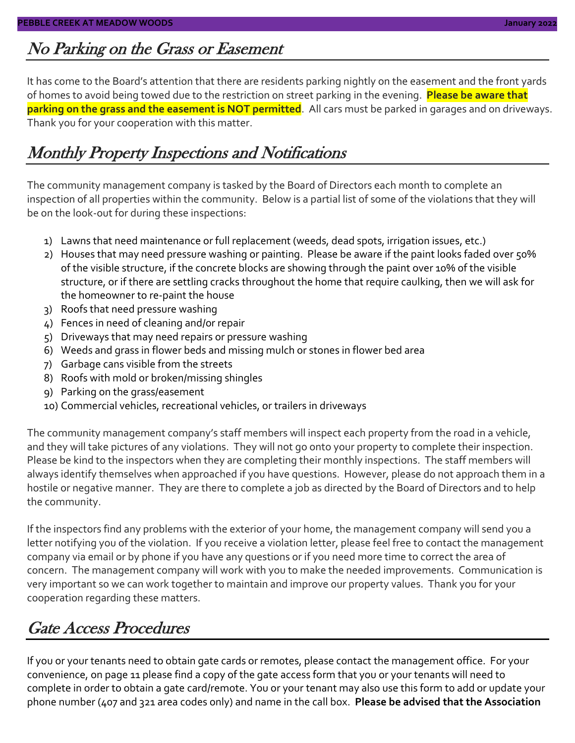## No Parking on the Grass or Easement

It has come to the Board's attention that there are residents parking nightly on the easement and the front yards of homes to avoid being towed due to the restriction on street parking in the evening. **Please be aware that parking on the grass and the easement is NOT permitted**. All cars must be parked in garages and on driveways. Thank you for your cooperation with this matter.

### Monthly Property Inspections and Notifications

The community management company is tasked by the Board of Directors each month to complete an inspection of all properties within the community. Below is a partial list of some of the violations that they will be on the look-out for during these inspections:

- 1) Lawns that need maintenance or full replacement (weeds, dead spots, irrigation issues, etc.)
- 2) Houses that may need pressure washing or painting. Please be aware if the paint looks faded over 50% of the visible structure, if the concrete blocks are showing through the paint over 10% of the visible structure, or if there are settling cracks throughout the home that require caulking, then we will ask for the homeowner to re-paint the house
- 3) Roofs that need pressure washing
- 4) Fences in need of cleaning and/or repair
- 5) Driveways that may need repairs or pressure washing
- 6) Weeds and grass in flower beds and missing mulch or stones in flower bed area
- 7) Garbage cans visible from the streets
- 8) Roofs with mold or broken/missing shingles
- 9) Parking on the grass/easement
- 10) Commercial vehicles, recreational vehicles, or trailers in driveways

The community management company's staff members will inspect each property from the road in a vehicle, and they will take pictures of any violations. They will not go onto your property to complete their inspection. Please be kind to the inspectors when they are completing their monthly inspections. The staff members will always identify themselves when approached if you have questions. However, please do not approach them in a hostile or negative manner. They are there to complete a job as directed by the Board of Directors and to help the community.

If the inspectors find any problems with the exterior of your home, the management company will send you a letter notifying you of the violation. If you receive a violation letter, please feel free to contact the management company via email or by phone if you have any questions or if you need more time to correct the area of concern. The management company will work with you to make the needed improvements. Communication is very important so we can work together to maintain and improve our property values. Thank you for your cooperation regarding these matters.

### Gate Access Procedures

If you or your tenants need to obtain gate cards or remotes, please contact the management office. For your convenience, on page 11 please find a copy of the gate access form that you or your tenants will need to complete in order to obtain a gate card/remote. You or your tenant may also use this form to add or update your phone number (407 and 321 area codes only) and name in the call box. **Please be advised that the Association**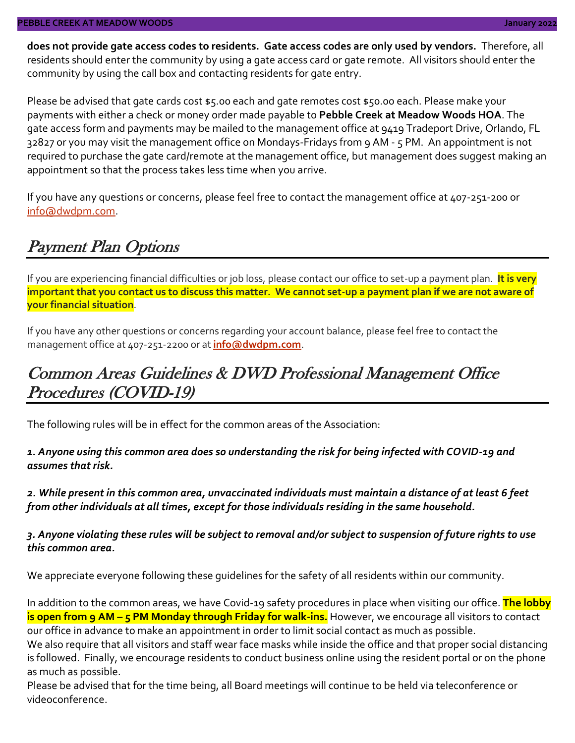**does not provide gate access codes to residents. Gate access codes are only used by vendors.** Therefore, all residents should enter the community by using a gate access card or gate remote. All visitors should enter the community by using the call box and contacting residents for gate entry.

Please be advised that gate cards cost \$5.00 each and gate remotes cost \$50.00 each. Please make your payments with either a check or money order made payable to **Pebble Creek at Meadow Woods HOA**. The gate access form and payments may be mailed to the management office at 9419 Tradeport Drive, Orlando, FL 32827 or you may visit the management office on Mondays-Fridays from 9 AM - 5 PM. An appointment is not required to purchase the gate card/remote at the management office, but management does suggest making an appointment so that the process takes less time when you arrive.

If you have any questions or concerns, please feel free to contact the management office at 407-251-200 or [info@dwdpm.com.](mailto:info@dwdpm.com)

#### Payment Plan Options

If you are experiencing financial difficulties or job loss, please contact our office to set-up a payment plan. **It is very important that you contact us to discuss this matter. We cannot set-up a payment plan if we are not aware of your financial situation**.

If you have any other questions or concerns regarding your account balance, please feel free to contact the management office at 407-251-2200 or at **[info@dwdpm.com](mailto:info@dwdpm.com)**.

### Common Areas Guidelines & DWD Professional Management Office Procedures (COVID-19)

The following rules will be in effect for the common areas of the Association:

*1. Anyone using this common area does so understanding the risk for being infected with COVID-19 and assumes that risk.*

*2. While present in this common area, unvaccinated individuals must maintain a distance of at least 6 feet from other individuals at all times, except for those individuals residing in the same household.*

*3. Anyone violating these rules will be subject to removal and/or subject to suspension of future rights to use this common area.*

We appreciate everyone following these guidelines for the safety of all residents within our community.

In addition to the common areas, we have Covid-19 safety procedures in place when visiting our office. **The lobby is open from 9 AM – 5 PM Monday through Friday for walk-ins.** However, we encourage all visitors to contact our office in advance to make an appointment in order to limit social contact as much as possible.

We also require that all visitors and staff wear face masks while inside the office and that proper social distancing is followed. Finally, we encourage residents to conduct business online using the resident portal or on the phone as much as possible.

Please be advised that for the time being, all Board meetings will continue to be held via teleconference or videoconference.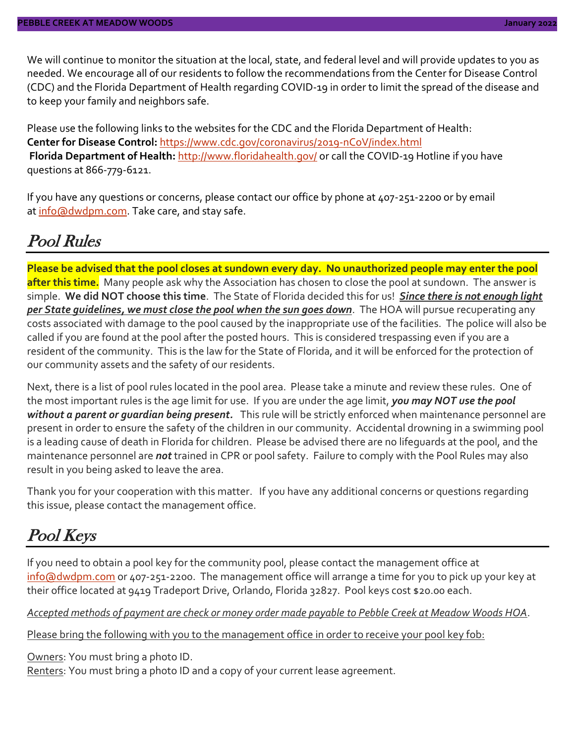We will continue to monitor the situation at the local, state, and federal level and will provide updates to you as needed. We encourage all of our residents to follow the recommendations from the Center for Disease Control (CDC) and the Florida Department of Health regarding COVID-19 in order to limit the spread of the disease and to keep your family and neighbors safe.

Please use the following links to the websites for the CDC and the Florida Department of Health: **Center for Disease Control:** <https://www.cdc.gov/coronavirus/2019-nCoV/index.html> Florida Department of Health: <http://www.floridahealth.gov/> or call the COVID-19 Hotline if you have questions at 866-779-6121.

If you have any questions or concerns, please contact our office by phone at 407-251-2200 or by email at [info@dwdpm.com.](mailto:info@dwdpm.com) Take care, and stay safe.

#### Pool Rules

**Please be advised that the pool closes at sundown every day. No unauthorized people may enter the pool after this time.** Many people ask why the Association has chosen to close the pool at sundown. The answer is simple. **We did NOT choose this time**. The State of Florida decided this for us! *Since there is not enough light per State guidelines, we must close the pool when the sun goes down*. The HOA will pursue recuperating any costs associated with damage to the pool caused by the inappropriate use of the facilities. The police will also be called if you are found at the pool after the posted hours. This is considered trespassing even if you are a resident of the community. This is the law for the State of Florida, and it will be enforced for the protection of our community assets and the safety of our residents.

Next, there is a list of pool rules located in the pool area. Please take a minute and review these rules. One of the most important rules is the age limit for use. If you are under the age limit, *you may NOT use the pool without a parent or guardian being present.* This rule will be strictly enforced when maintenance personnel are present in order to ensure the safety of the children in our community. Accidental drowning in a swimming pool is a leading cause of death in Florida for children. Please be advised there are no lifeguards at the pool, and the maintenance personnel are *not* trained in CPR or pool safety. Failure to comply with the Pool Rules may also result in you being asked to leave the area.

Thank you for your cooperation with this matter. If you have any additional concerns or questions regarding this issue, please contact the management office.

### Pool Keys

If you need to obtain a pool key for the community pool, please contact the management office at [info@dwdpm.com](mailto:info@dwdpm.com) or 407-251-2200. The management office will arrange a time for you to pick up your key at their office located at 9419 Tradeport Drive, Orlando, Florida 32827. Pool keys cost \$20.00 each.

*Accepted methods of payment are check or money order made payable to Pebble Creek at Meadow Woods HOA*.

Please bring the following with you to the management office in order to receive your pool key fob:

Owners: You must bring a photo ID. Renters: You must bring a photo ID and a copy of your current lease agreement.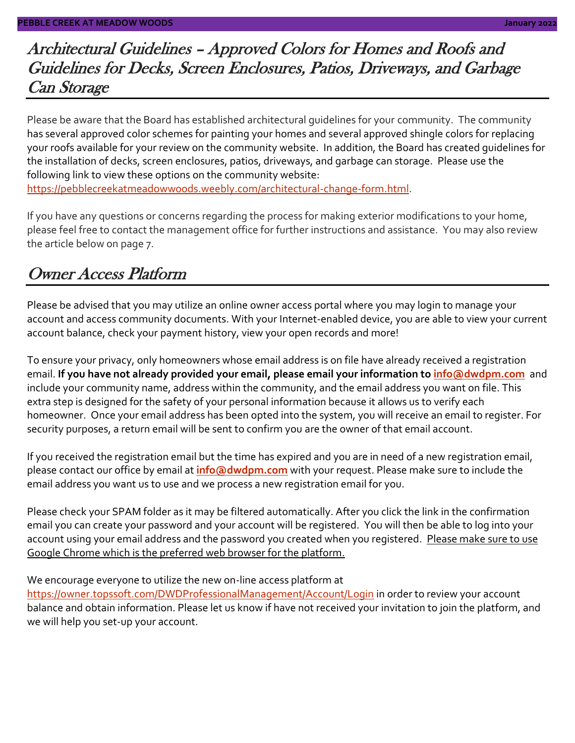### Architectural Guidelines – Approved Colors for Homes and Roofs and Guidelines for Decks, Screen Enclosures, Patios, Driveways, and Garbage Can Storage

Please be aware that the Board has established architectural guidelines for your community. The community has several approved color schemes for painting your homes and several approved shingle colors for replacing your roofs available for your review on the community website. In addition, the Board has created guidelines for the installation of decks, screen enclosures, patios, driveways, and garbage can storage. Please use the following link to view these options on the community website: [https://pebblecreekatmeadowwoods.weebly.com/architectural-change-form.html.](https://pebblecreekatmeadowwoods.weebly.com/architectural-change-form.html)

If you have any questions or concerns regarding the process for making exterior modifications to your home, please feel free to contact the management office for further instructions and assistance. You may also review the article below on page 7.

### Owner Access Platform

Please be advised that you may utilize an online owner access portal where you may login to manage your account and access community documents. With your Internet-enabled device, you are able to view your current account balance, check your payment history, view your open records and more!

To ensure your privacy, only homeowners whose email address is on file have already received a registration email. **If you have not already provided your email, please email your information to [info@dwdpm.com](mailto:info@dwdpm.com)** and include your community name, address within the community, and the email address you want on file. This extra step is designed for the safety of your personal information because it allows us to verify each homeowner. Once your email address has been opted into the system, you will receive an email to register. For security purposes, a return email will be sent to confirm you are the owner of that email account.

If you received the registration email but the time has expired and you are in need of a new registration email, please contact our office by email at **[info@dwdpm.com](mailto:info@dwdpm.com)** with your request. Please make sure to include the email address you want us to use and we process a new registration email for you.

Please check your SPAM folder as it may be filtered automatically. After you click the link in the confirmation email you can create your password and your account will be registered. You will then be able to log into your account using your email address and the password you created when you registered. Please make sure to use Google Chrome which is the preferred web browser for the platform.

We encourage everyone to utilize the new on-line access platform at

<https://owner.topssoft.com/DWDProfessionalManagement/Account/Login> in order to review your account balance and obtain information. Please let us know if have not received your invitation to join the platform, and we will help you set-up your account.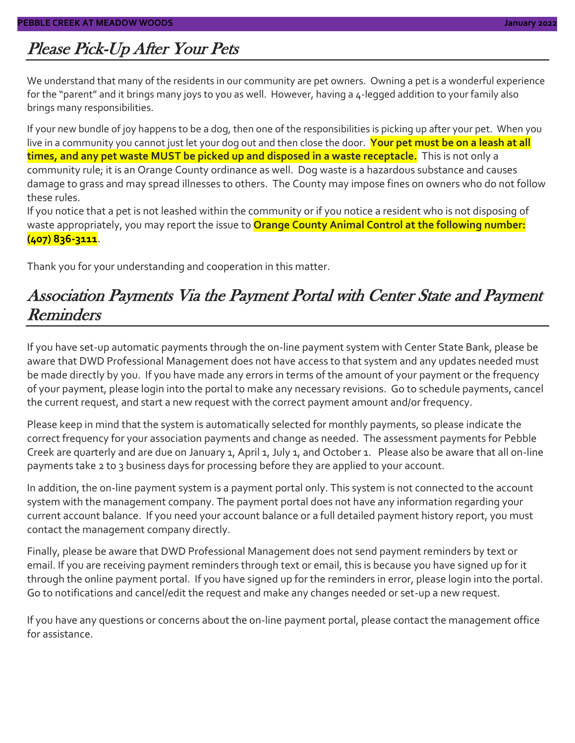### Please Pick-Up After Your Pets

We understand that many of the residents in our community are pet owners. Owning a pet is a wonderful experience for the "parent" and it brings many joys to you as well. However, having a 4-legged addition to your family also brings many responsibilities.

If your new bundle of joy happens to be a dog, then one of the responsibilities is picking up after your pet. When you live in a community you cannot just let your dog out and then close the door. **Your pet must be on a leash at all times, and any pet waste MUST be picked up and disposed in a waste receptacle.** This is not only a community rule; it is an Orange County ordinance as well. Dog waste is a hazardous substance and causes damage to grass and may spread illnesses to others. The County may impose fines on owners who do not follow these rules.

If you notice that a pet is not leashed within the community or if you notice a resident who is not disposing of waste appropriately, you may report the issue to **Orange County Animal Control at the following number: (407) 836-3111**.

Thank you for your understanding and cooperation in this matter.

#### Association Payments Via the Payment Portal with Center State and Payment Reminders

If you have set-up automatic payments through the on-line payment system with Center State Bank, please be aware that DWD Professional Management does not have access to that system and any updates needed must be made directly by you. If you have made any errors in terms of the amount of your payment or the frequency of your payment, please login into the portal to make any necessary revisions. Go to schedule payments, cancel the current request, and start a new request with the correct payment amount and/or frequency.

Please keep in mind that the system is automatically selected for monthly payments, so please indicate the correct frequency for your association payments and change as needed. The assessment payments for Pebble Creek are quarterly and are due on January 1, April 1, July 1, and October 1. Please also be aware that all on-line payments take 2 to 3 business days for processing before they are applied to your account.

In addition, the on-line payment system is a payment portal only. This system is not connected to the account system with the management company. The payment portal does not have any information regarding your current account balance. If you need your account balance or a full detailed payment history report, you must contact the management company directly.

Finally, please be aware that DWD Professional Management does not send payment reminders by text or email. If you are receiving payment reminders through text or email, this is because you have signed up for it through the online payment portal. If you have signed up for the reminders in error, please login into the portal. Go to notifications and cancel/edit the request and make any changes needed or set-up a new request.

If you have any questions or concerns about the on-line payment portal, please contact the management office for assistance.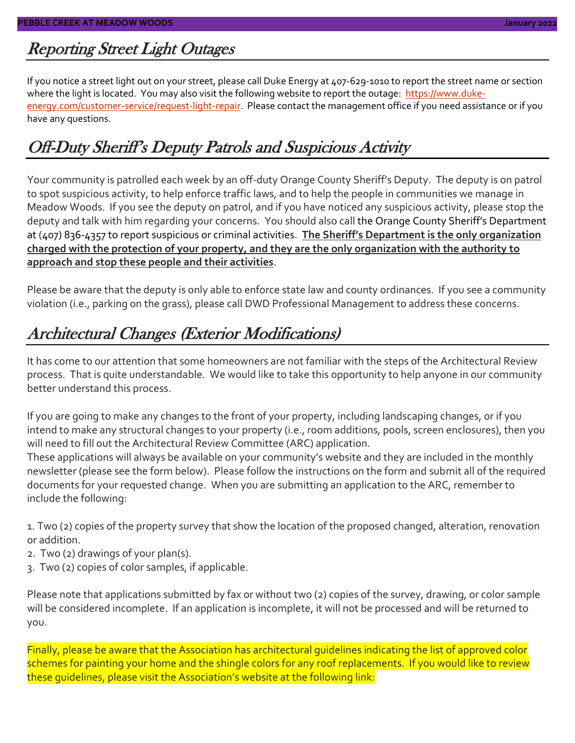#### Reporting Street Light Outages

If you notice a street light out on your street, please call Duke Energy at 407-629-1010 to report the street name or section where the light is located. You may also visit the following website to report the outage: [https://www.duke](https://www.duke-energy.com/customer-service/request-light-repair)[energy.com/customer-service/request-light-repair.](https://www.duke-energy.com/customer-service/request-light-repair) Please contact the management office if you need assistance or if you have any questions.

### Off-Duty Sheriff's Deputy Patrols and Suspicious Activity

Your community is patrolled each week by an off-duty Orange County Sheriff's Deputy. The deputy is on patrol to spot suspicious activity, to help enforce traffic laws, and to help the people in communities we manage in Meadow Woods. If you see the deputy on patrol, and if you have noticed any suspicious activity, please stop the deputy and talk with him regarding your concerns. You should also call the Orange County Sheriff's Department at (407) 836-4357 to report suspicious or criminal activities. **The Sheriff's Department is the only organization charged with the protection of your property, and they are the only organization with the authority to approach and stop these people and their activities**.

Please be aware that the deputy is only able to enforce state law and county ordinances. If you see a community violation (i.e., parking on the grass), please call DWD Professional Management to address these concerns.

### Architectural Changes (Exterior Modifications)

It has come to our attention that some homeowners are not familiar with the steps of the Architectural Review process. That is quite understandable. We would like to take this opportunity to help anyone in our community better understand this process.

If you are going to make any changes to the front of your property, including landscaping changes, or if you intend to make any structural changes to your property (i.e., room additions, pools, screen enclosures), then you will need to fill out the Architectural Review Committee (ARC) application.

These applications will always be available on your community's website and they are included in the monthly newsletter (please see the form below). Please follow the instructions on the form and submit all of the required documents for your requested change. When you are submitting an application to the ARC, remember to include the following:

1. Two (2) copies of the property survey that show the location of the proposed changed, alteration, renovation or addition.

- 2. Two (2) drawings of your plan(s).
- 3. Two (2) copies of color samples, if applicable.

Please note that applications submitted by fax or without two (2) copies of the survey, drawing, or color sample will be considered incomplete. If an application is incomplete, it will not be processed and will be returned to you.

Finally, please be aware that the Association has architectural guidelines indicating the list of approved color schemes for painting your home and the shingle colors for any roof replacements. If you would like to review these guidelines, please visit the Association's website at the following link: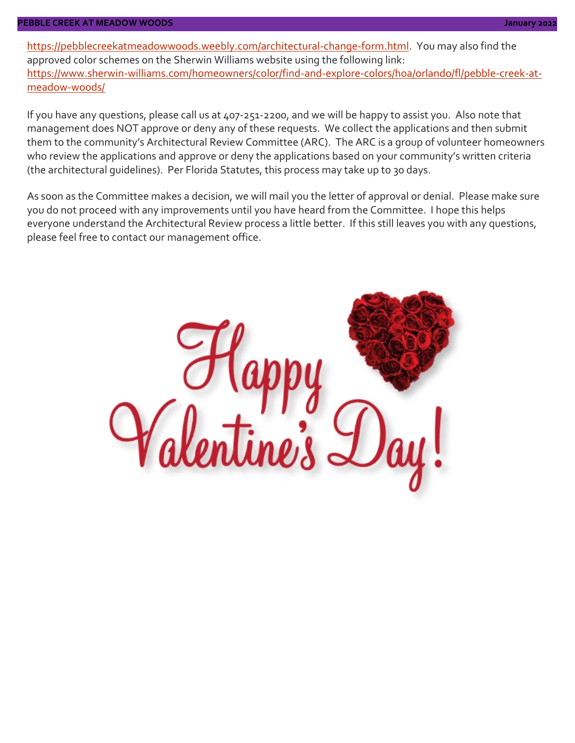#### **PEBBLE CREEK AT MEADOW WOODS January 2022**

[https://pebblecreekatmeadowwoods.weebly.com/architectural-change-form.html.](https://pebblecreekatmeadowwoods.weebly.com/architectural-change-form.html) You may also find the approved color schemes on the Sherwin Williams website using the following link: [https://www.sherwin-williams.com/homeowners/color/find-and-explore-colors/hoa/orlando/fl/pebble-creek-at](https://www.sherwin-williams.com/homeowners/color/find-and-explore-colors/hoa/orlando/fl/pebble-creek-at-meadow-woods/)[meadow-woods/](https://www.sherwin-williams.com/homeowners/color/find-and-explore-colors/hoa/orlando/fl/pebble-creek-at-meadow-woods/)

If you have any questions, please call us at 407-251-2200, and we will be happy to assist you. Also note that management does NOT approve or deny any of these requests. We collect the applications and then submit them to the community's Architectural Review Committee (ARC). The ARC is a group of volunteer homeowners who review the applications and approve or deny the applications based on your community's written criteria (the architectural guidelines). Per Florida Statutes, this process may take up to 30 days.

As soon as the Committee makes a decision, we will mail you the letter of approval or denial. Please make sure you do not proceed with any improvements until you have heard from the Committee. I hope this helps everyone understand the Architectural Review process a little better. If this still leaves you with any questions, please feel free to contact our management office.

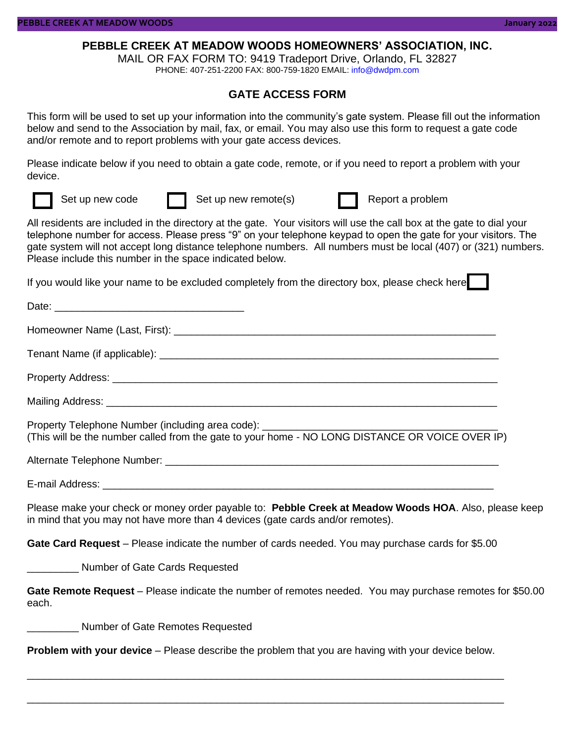#### **PEBBLE CREEK AT MEADOW WOODS HOMEOWNERS' ASSOCIATION, INC.**

MAIL OR FAX FORM TO: 9419 Tradeport Drive, Orlando, FL 32827

PHONE: 407-251-2200 FAX: 800-759-1820 EMAIL: info@dwdpm.com

#### **GATE ACCESS FORM**

This form will be used to set up your information into the community's gate system. Please fill out the information below and send to the Association by mail, fax, or email. You may also use this form to request a gate code and/or remote and to report problems with your gate access devices.

Please indicate below if you need to obtain a gate code, remote, or if you need to report a problem with your device.



Set up new code **Set up new remote(s)** Report a problem

All residents are included in the directory at the gate. Your visitors will use the call box at the gate to dial your telephone number for access. Please press "9" on your telephone keypad to open the gate for your visitors. The gate system will not accept long distance telephone numbers. All numbers must be local (407) or (321) numbers. Please include this number in the space indicated below.

If you would like your name to be excluded completely from the directory box, please check here

Date: Homeowner Name (Last, First): \_\_\_\_\_\_\_\_\_\_\_\_\_\_\_\_\_\_\_\_\_\_\_\_\_\_\_\_\_\_\_\_\_\_\_\_\_\_\_\_\_\_\_\_\_\_\_\_\_\_\_\_\_\_\_\_ Tenant Name (if applicable):  $\Box$ Property Address: \_\_\_\_\_\_\_\_\_\_\_\_\_\_\_\_\_\_\_\_\_\_\_\_\_\_\_\_\_\_\_\_\_\_\_\_\_\_\_\_\_\_\_\_\_\_\_\_\_\_\_\_\_\_\_\_\_\_\_\_\_\_\_\_\_\_\_ Mailing Address: \_\_\_\_\_\_\_\_\_\_\_\_\_\_\_\_\_\_\_\_\_\_\_\_\_\_\_\_\_\_\_\_\_\_\_\_\_\_\_\_\_\_\_\_\_\_\_\_\_\_\_\_\_\_\_\_\_\_\_\_\_\_\_\_\_\_\_\_ Property Telephone Number (including area code): (This will be the number called from the gate to your home - NO LONG DISTANCE OR VOICE OVER IP) Alternate Telephone Number: \_\_\_\_\_\_\_\_\_\_\_\_\_\_\_\_\_\_\_\_\_\_\_\_\_\_\_\_\_\_\_\_\_\_\_\_\_\_\_\_\_\_\_\_\_\_\_\_\_\_\_\_\_\_\_\_\_\_ E-mail Address: **E-mail Address**: Please make your check or money order payable to: **Pebble Creek at Meadow Woods HOA**. Also, please keep in mind that you may not have more than 4 devices (gate cards and/or remotes). **Gate Card Request** – Please indicate the number of cards needed. You may purchase cards for \$5.00 \_\_\_\_\_\_\_\_\_ Number of Gate Cards Requested

**Gate Remote Request** – Please indicate the number of remotes needed. You may purchase remotes for \$50.00 each.

\_\_\_\_\_\_\_\_\_ Number of Gate Remotes Requested

**Problem with your device** – Please describe the problem that you are having with your device below.

\_\_\_\_\_\_\_\_\_\_\_\_\_\_\_\_\_\_\_\_\_\_\_\_\_\_\_\_\_\_\_\_\_\_\_\_\_\_\_\_\_\_\_\_\_\_\_\_\_\_\_\_\_\_\_\_\_\_\_\_\_\_\_\_\_\_\_\_\_\_\_\_\_\_\_\_\_\_\_\_\_\_\_

\_\_\_\_\_\_\_\_\_\_\_\_\_\_\_\_\_\_\_\_\_\_\_\_\_\_\_\_\_\_\_\_\_\_\_\_\_\_\_\_\_\_\_\_\_\_\_\_\_\_\_\_\_\_\_\_\_\_\_\_\_\_\_\_\_\_\_\_\_\_\_\_\_\_\_\_\_\_\_\_\_\_\_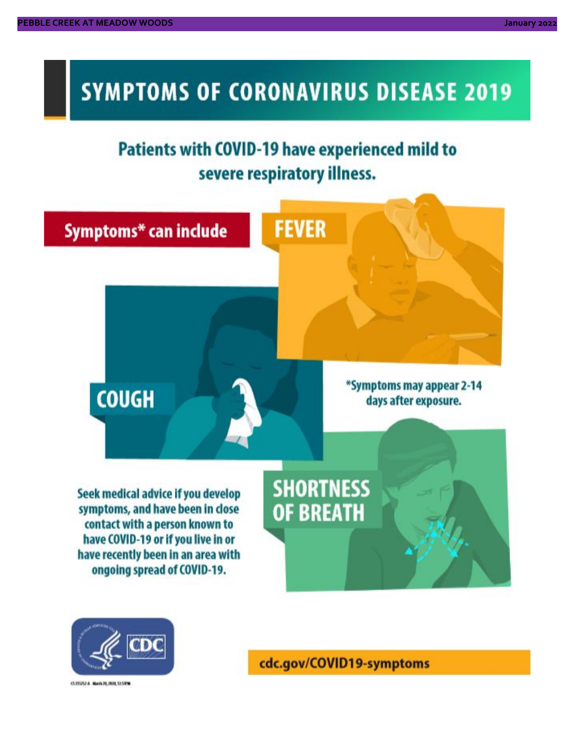# **SYMPTOMS OF CORONAVIRUS DISEASE 2019**

# **Patients with COVID-19 have experienced mild to** severe respiratory illness.





03/02/24 Marin 20, 2020, 12:59%

cdc.gov/COVID19-symptoms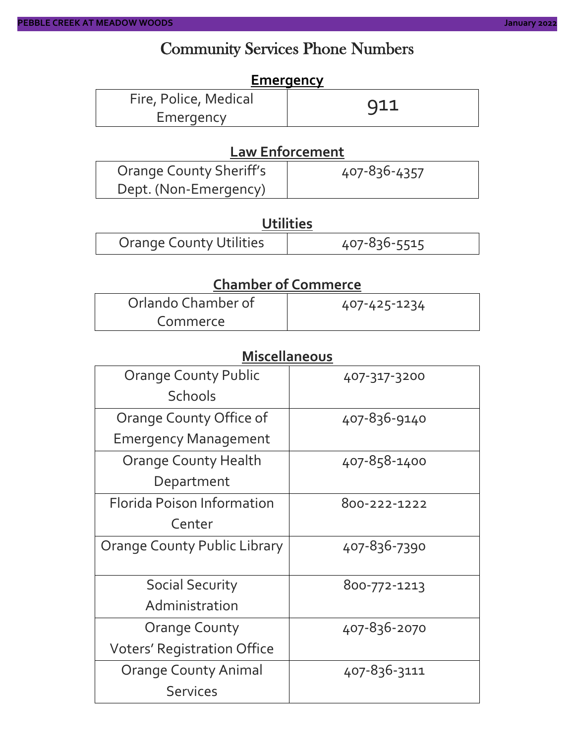### Community Services Phone Numbers

#### **Emergency**

| Fire, Police, Medical | 911 |
|-----------------------|-----|
| Emergency             |     |

#### **Law Enforcement**

| <b>Orange County Sheriff's</b> | 407-836-4357 |
|--------------------------------|--------------|
| Dept. (Non-Emergency)          |              |

#### **Utilities**

| <b>Orange County Utilities</b> | 407-836-5515 |
|--------------------------------|--------------|
|--------------------------------|--------------|

#### **Chamber of Commerce**

| Orlando Chamber of | 407-425-1234 |
|--------------------|--------------|
| Commerce           |              |

#### **Miscellaneous**

| <b>Orange County Public</b>         | 407-317-3200 |  |  |
|-------------------------------------|--------------|--|--|
| <b>Schools</b>                      |              |  |  |
| Orange County Office of             | 407-836-9140 |  |  |
| <b>Emergency Management</b>         |              |  |  |
| <b>Orange County Health</b>         | 407-858-1400 |  |  |
| Department                          |              |  |  |
| <b>Florida Poison Information</b>   | 800-222-1222 |  |  |
| Center                              |              |  |  |
| <b>Orange County Public Library</b> | 407-836-7390 |  |  |
|                                     |              |  |  |
| <b>Social Security</b>              | 800-772-1213 |  |  |
| Administration                      |              |  |  |
| <b>Orange County</b>                | 407-836-2070 |  |  |
| <b>Voters' Registration Office</b>  |              |  |  |
| <b>Orange County Animal</b>         | 407-836-3111 |  |  |
| <b>Services</b>                     |              |  |  |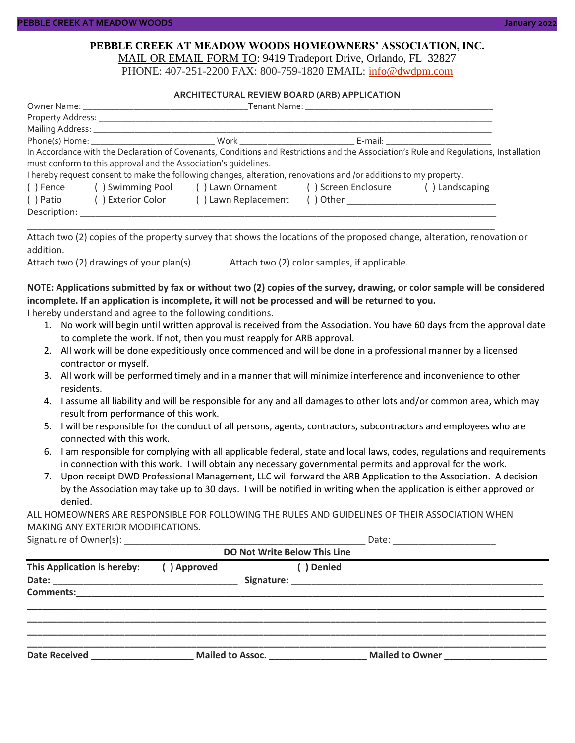#### **PEBBLE CREEK AT MEADOW WOODS HOMEOWNERS' ASSOCIATION, INC.** MAIL OR EMAIL FORM TO: 9419 Tradeport Drive, Orlando, FL 32827

PHONE: 407-251-2200 FAX: 800-759-1820 EMAIL: [info@dwdpm.com](mailto:info@dwdpm.com)

#### **ARCHITECTURAL REVIEW BOARD (ARB) APPLICATION**

|              | Mailing Address: ______________                                 |                                                                                                                   |                                        |                                                                                                                                       |  |
|--------------|-----------------------------------------------------------------|-------------------------------------------------------------------------------------------------------------------|----------------------------------------|---------------------------------------------------------------------------------------------------------------------------------------|--|
|              |                                                                 |                                                                                                                   | _ E-mail: ____________________________ |                                                                                                                                       |  |
|              |                                                                 |                                                                                                                   |                                        | In Accordance with the Declaration of Covenants, Conditions and Restrictions and the Association's Rule and Requlations, Installation |  |
|              | must conform to this approval and the Association's quidelines. |                                                                                                                   |                                        |                                                                                                                                       |  |
|              |                                                                 | I hereby request consent to make the following changes, alteration, renovations and /or additions to my property. |                                        |                                                                                                                                       |  |
| () Fence     |                                                                 | () Swimming Pool () Lawn Ornament () Screen Enclosure                                                             |                                        | () Landscaping                                                                                                                        |  |
| ( ) Patio    | () Exterior Color                                               | () Lawn Replacement                                                                                               |                                        |                                                                                                                                       |  |
| Description: |                                                                 |                                                                                                                   |                                        |                                                                                                                                       |  |

Attach two (2) copies of the property survey that shows the locations of the proposed change, alteration, renovation or addition.

\_\_\_\_\_\_\_\_\_\_\_\_\_\_\_\_\_\_\_\_\_\_\_\_\_\_\_\_\_\_\_\_\_\_\_\_\_\_\_\_\_\_\_\_\_\_\_\_\_\_\_\_\_\_\_\_\_\_\_\_\_\_\_\_\_\_\_\_\_\_\_\_\_\_\_\_\_\_\_\_\_\_\_\_\_\_\_\_\_\_\_

Attach two (2) drawings of your plan(s). Attach two (2) color samples, if applicable.

#### **NOTE: Applications submitted by fax or without two (2) copies of the survey, drawing, or color sample will be considered incomplete. If an application is incomplete, it will not be processed and will be returned to you.**

I hereby understand and agree to the following conditions.

- 1. No work will begin until written approval is received from the Association. You have 60 days from the approval date to complete the work. If not, then you must reapply for ARB approval.
- 2. All work will be done expeditiously once commenced and will be done in a professional manner by a licensed contractor or myself.
- 3. All work will be performed timely and in a manner that will minimize interference and inconvenience to other residents.
- 4. I assume all liability and will be responsible for any and all damages to other lots and/or common area, which may result from performance of this work.
- 5. I will be responsible for the conduct of all persons, agents, contractors, subcontractors and employees who are connected with this work.
- 6. I am responsible for complying with all applicable federal, state and local laws, codes, regulations and requirements in connection with this work. I will obtain any necessary governmental permits and approval for the work.
- 7. Upon receipt DWD Professional Management, LLC will forward the ARB Application to the Association. A decision by the Association may take up to 30 days. I will be notified in writing when the application is either approved or denied.

ALL HOMEOWNERS ARE RESPONSIBLE FOR FOLLOWING THE RULES AND GUIDELINES OF THEIR ASSOCIATION WHEN MAKING ANY EXTERIOR MODIFICATIONS.

Signature of Owner(s):  $\Box$ 

| <b>DO Not Write Below This Line</b> |             |                  |            |                        |  |
|-------------------------------------|-------------|------------------|------------|------------------------|--|
| This Application is hereby:         | () Approved |                  | ( ) Denied |                        |  |
| <b>Comments:</b>                    |             |                  |            |                        |  |
| <b>Date Received</b>                |             | Mailed to Assoc. |            | <b>Mailed to Owner</b> |  |